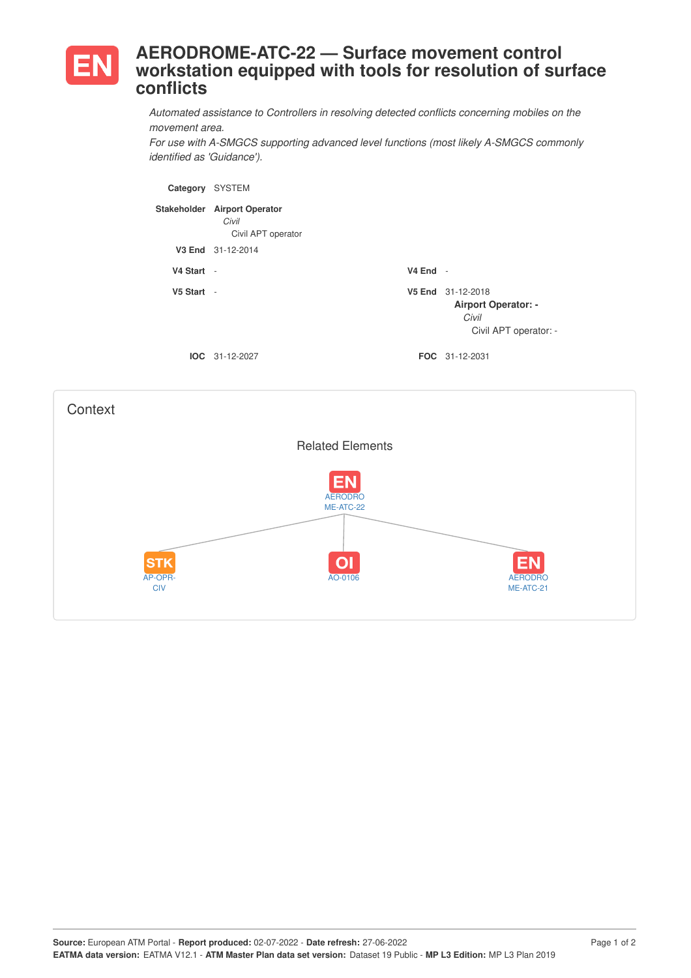

## **AERODROME-ATC-22 — Surface movement control workstation equipped with tools for resolution of surface conflicts**

*Automated assistance to Controllers in resolving detected conflicts concerning mobiles on the movement area.*

*For use with A-SMGCS supporting advanced level functions (most likely A-SMGCS commonly identified as 'Guidance').*

| Category   | <b>SYSTEM</b>                                               |            |                                                                                   |
|------------|-------------------------------------------------------------|------------|-----------------------------------------------------------------------------------|
|            | Stakeholder Airport Operator<br>Civil<br>Civil APT operator |            |                                                                                   |
|            | V3 End 31-12-2014                                           |            |                                                                                   |
| V4 Start - |                                                             | $V4$ End - |                                                                                   |
| V5 Start - |                                                             |            | V5 End 31-12-2018<br><b>Airport Operator: -</b><br>Civil<br>Civil APT operator: - |
|            | $IOC 31-12-2027$                                            |            | <b>FOC</b> 31-12-2031                                                             |